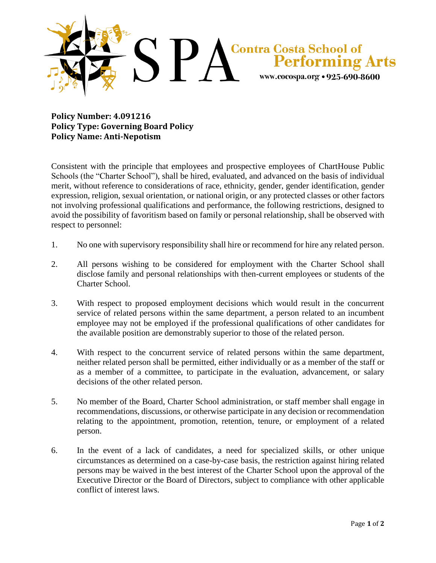

**Policy Number: 4.091216 Policy Type: Governing Board Policy Policy Name: Anti-Nepotism**

Consistent with the principle that employees and prospective employees of ChartHouse Public Schools (the "Charter School"), shall be hired, evaluated, and advanced on the basis of individual merit, without reference to considerations of race, ethnicity, gender, gender identification, gender expression, religion, sexual orientation, or national origin, or any protected classes or other factors not involving professional qualifications and performance, the following restrictions, designed to avoid the possibility of favoritism based on family or personal relationship, shall be observed with respect to personnel:

- 1. No one with supervisory responsibility shall hire or recommend for hire any related person.
- 2. All persons wishing to be considered for employment with the Charter School shall disclose family and personal relationships with then-current employees or students of the Charter School.
- 3. With respect to proposed employment decisions which would result in the concurrent service of related persons within the same department, a person related to an incumbent employee may not be employed if the professional qualifications of other candidates for the available position are demonstrably superior to those of the related person.
- 4. With respect to the concurrent service of related persons within the same department, neither related person shall be permitted, either individually or as a member of the staff or as a member of a committee, to participate in the evaluation, advancement, or salary decisions of the other related person.
- 5. No member of the Board, Charter School administration, or staff member shall engage in recommendations, discussions, or otherwise participate in any decision or recommendation relating to the appointment, promotion, retention, tenure, or employment of a related person.
- 6. In the event of a lack of candidates, a need for specialized skills, or other unique circumstances as determined on a case-by-case basis, the restriction against hiring related persons may be waived in the best interest of the Charter School upon the approval of the Executive Director or the Board of Directors, subject to compliance with other applicable conflict of interest laws.